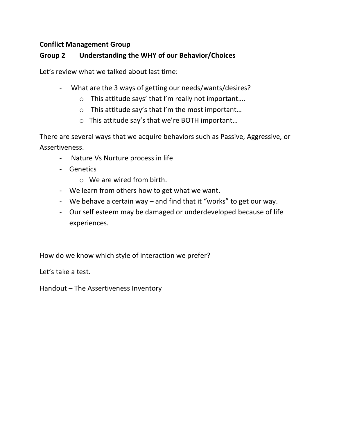## **Conflict Management Group**

# **Group 2 Understanding the WHY of our Behavior/Choices**

Let's review what we talked about last time:

- What are the 3 ways of getting our needs/wants/desires?
	- o This attitude says' that I'm really not important….
	- o This attitude say's that I'm the most important…
	- o This attitude say's that we're BOTH important…

There are several ways that we acquire behaviors such as Passive, Aggressive, or Assertiveness.

- Nature Vs Nurture process in life
- Genetics
	- o We are wired from birth.
- We learn from others how to get what we want.
- We behave a certain way and find that it "works" to get our way.
- Our self esteem may be damaged or underdeveloped because of life experiences.

How do we know which style of interaction we prefer?

Let's take a test.

Handout – The Assertiveness Inventory